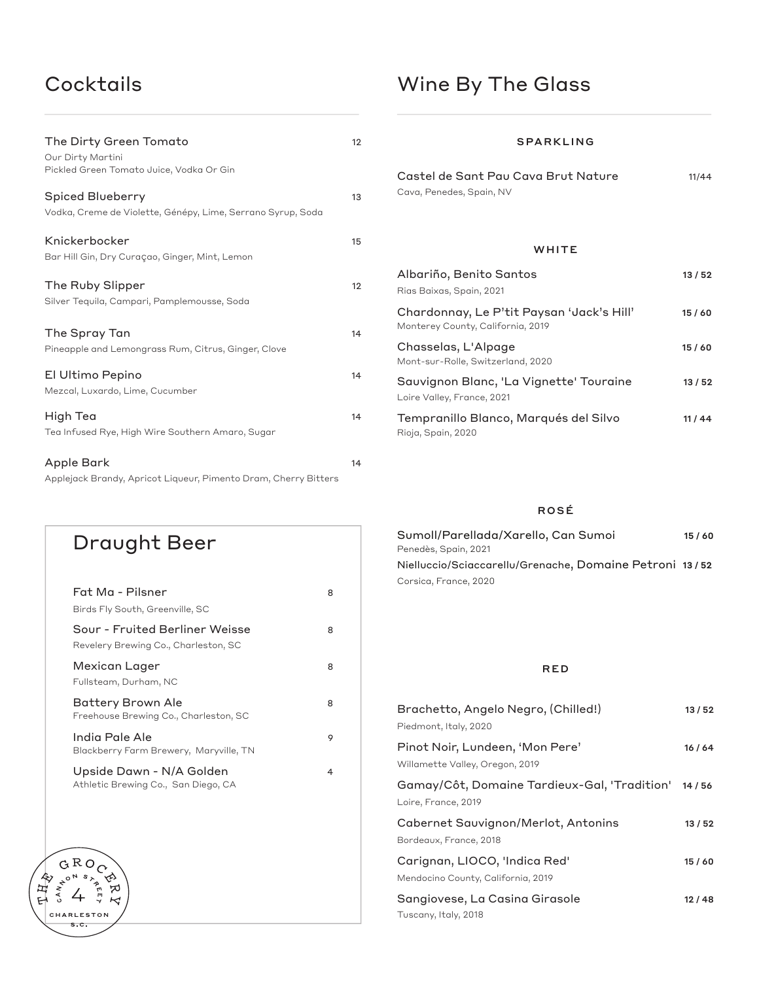# Cocktails

| <b>Wine By The Glass</b> |  |  |  |  |  |
|--------------------------|--|--|--|--|--|
|--------------------------|--|--|--|--|--|

| The Dirty Green Tomato<br>Our Dirty Martini<br>Pickled Green Tomato Juice, Vodka Or Gin | 12 |
|-----------------------------------------------------------------------------------------|----|
| <b>Spiced Blueberry</b><br>Vodka, Creme de Violette, Génépy, Lime, Serrano Syrup, Soda  | 13 |
| Knickerbocker<br>Bar Hill Gin, Dry Curaçao, Ginger, Mint, Lemon                         | 15 |
| The Ruby Slipper<br>Silver Tequila, Campari, Pamplemousse, Soda                         | 12 |
| The Spray Tan<br>Pineapple and Lemongrass Rum, Citrus, Ginger, Clove                    | 14 |
| El Ultimo Pepino<br>Mezcal, Luxardo, Lime, Cucumber                                     | 14 |
| High Tea<br>Tea Infused Rye, High Wire Southern Amaro, Sugar                            | 14 |
| Apple Bark<br>Applejack Brandy, Apricot Liqueur, Pimento Dram, Cherry Bitters           | 14 |

### SPARKLING

| Castel de Sant Pau Cava Brut Nature | 11/44 |
|-------------------------------------|-------|
| Cava, Penedes, Spain, NV            |       |

## **WHITE**

| Albariño, Benito Santos<br>Rias Baixas, Spain, 2021                            | 13 / 52 |
|--------------------------------------------------------------------------------|---------|
| Chardonnay, Le P'tit Paysan 'Jack's Hill'<br>Monterey County, California, 2019 | 15/60   |
| Chasselas, L'Alpage<br>Mont-sur-Rolle, Switzerland, 2020                       | 15/60   |
| Sauvignon Blanc, 'La Vignette' Touraine<br>Loire Valley, France, 2021          | 13/52   |
| Tempranillo Blanco, Marqués del Silvo<br>Rioja, Spain, 2020                    | 11 / 44 |

## ROSÉ

| Sumoll/Parellada/Xarello, Can Sumoi                     | 15/60 |
|---------------------------------------------------------|-------|
| Penedès, Spain, 2021                                    |       |
| Nielluccio/Sciaccarellu/Grenache, Domaine Petroni 13/52 |       |
| Corsica, France, 2020                                   |       |

## RED

| Brachetto, Angelo Negro, (Chilled!)<br>Piedmont, Italy, 2020        | 13/52   |
|---------------------------------------------------------------------|---------|
| Pinot Noir, Lundeen, 'Mon Pere'<br>Willamette Valley, Oregon, 2019  | 16 / 64 |
| Gamay/Côt, Domaine Tardieux-Gal, 'Tradition'<br>Loire, France, 2019 | 14/56   |
| Cabernet Sauvignon/Merlot, Antonins<br>Bordeaux, France, 2018       | 13/52   |
| Carignan, LIOCO, 'Indica Red'<br>Mendocino County, California, 2019 | 15/60   |
| Sangiovese, La Casina Girasole<br>Tuscany, Italy, 2018              | 12/48   |

## Fat Ma - Pilsner 8 Birds Fly South, Greenville, SC Sour - Fruited Berliner Weisse 8 Revelery Brewing Co., Charleston, SC Mexican Lager 8 Fullsteam, Durham, NC Battery Brown Ale 8 Freehouse Brewing Co., Charleston, SC India Pale Ale 9 Blackberry Farm Brewery, Maryville, TN Upside Dawn - N/A Golden 4 Athletic Brewing Co., San Diego, CA GROC ⇙

Draught Beer

《母子》

CAN<sub>N</sub>

CHARLESTON  $s.c.$ 

ゎ  $\overline{\mathcal{K}}$